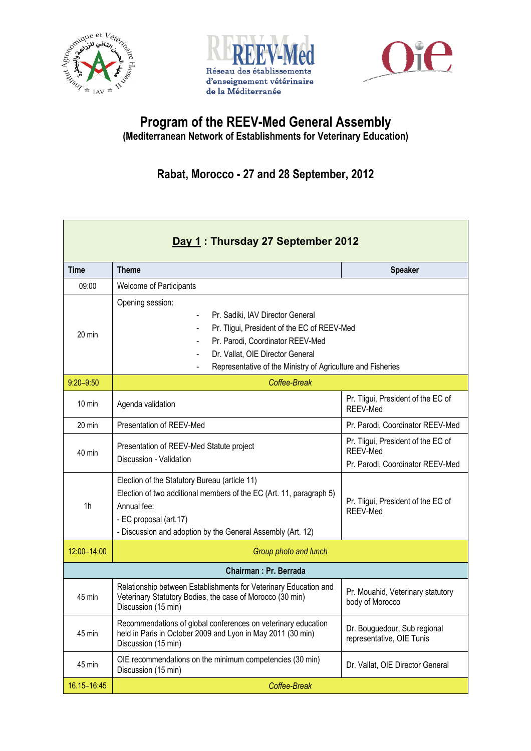





## **Program of the REEV-Med General Assembly (Mediterranean Network of Establishments for Veterinary Education)**

## **Rabat, Morocco - 27 and 28 September, 2012**

| Day 1: Thursday 27 September 2012 |                                                                                                                                                                                                                                                                                                                                      |                                                                                           |  |  |
|-----------------------------------|--------------------------------------------------------------------------------------------------------------------------------------------------------------------------------------------------------------------------------------------------------------------------------------------------------------------------------------|-------------------------------------------------------------------------------------------|--|--|
| <b>Time</b>                       | <b>Theme</b>                                                                                                                                                                                                                                                                                                                         | <b>Speaker</b>                                                                            |  |  |
| 09:00                             | Welcome of Participants                                                                                                                                                                                                                                                                                                              |                                                                                           |  |  |
| $20 \text{ min}$                  | Opening session:<br>Pr. Sadiki, IAV Director General<br>$\blacksquare$<br>Pr. Tligui, President of the EC of REEV-Med<br>$\blacksquare$<br>Pr. Parodi, Coordinator REEV-Med<br>$\blacksquare$<br>Dr. Vallat, OIE Director General<br>$\blacksquare$<br>Representative of the Ministry of Agriculture and Fisheries<br>$\blacksquare$ |                                                                                           |  |  |
| $9:20 - 9:50$                     | Coffee-Break                                                                                                                                                                                                                                                                                                                         |                                                                                           |  |  |
| $10 \text{ min}$                  | Agenda validation                                                                                                                                                                                                                                                                                                                    | Pr. Tligui, President of the EC of<br>REEV-Med                                            |  |  |
| $20 \text{ min}$                  | Presentation of REEV-Med                                                                                                                                                                                                                                                                                                             | Pr. Parodi, Coordinator REEV-Med                                                          |  |  |
| 40 min                            | Presentation of REEV-Med Statute project<br>Discussion - Validation                                                                                                                                                                                                                                                                  | Pr. Tligui, President of the EC of<br>REEV-Med                                            |  |  |
| 1 <sub>h</sub>                    | Election of the Statutory Bureau (article 11)<br>Election of two additional members of the EC (Art. 11, paragraph 5)<br>Annual fee:<br>- EC proposal (art.17)<br>- Discussion and adoption by the General Assembly (Art. 12)                                                                                                         | Pr. Parodi, Coordinator REEV-Med<br>Pr. Tligui, President of the EC of<br><b>REEV-Med</b> |  |  |
| 12:00-14:00                       | Group photo and lunch                                                                                                                                                                                                                                                                                                                |                                                                                           |  |  |
| Chairman: Pr. Berrada             |                                                                                                                                                                                                                                                                                                                                      |                                                                                           |  |  |
| 45 min                            | Relationship between Establishments for Veterinary Education and<br>Veterinary Statutory Bodies, the case of Morocco (30 min)<br>Discussion (15 min)                                                                                                                                                                                 | Pr. Mouahid, Veterinary statutory<br>body of Morocco                                      |  |  |
| 45 min                            | Recommendations of global conferences on veterinary education<br>held in Paris in October 2009 and Lyon in May 2011 (30 min)<br>Discussion (15 min)                                                                                                                                                                                  | Dr. Bouguedour, Sub regional<br>representative, OIE Tunis                                 |  |  |
| 45 min                            | OIE recommendations on the minimum competencies (30 min)<br>Discussion (15 min)                                                                                                                                                                                                                                                      | Dr. Vallat, OIE Director General                                                          |  |  |
| 16.15-16:45                       | Coffee-Break                                                                                                                                                                                                                                                                                                                         |                                                                                           |  |  |